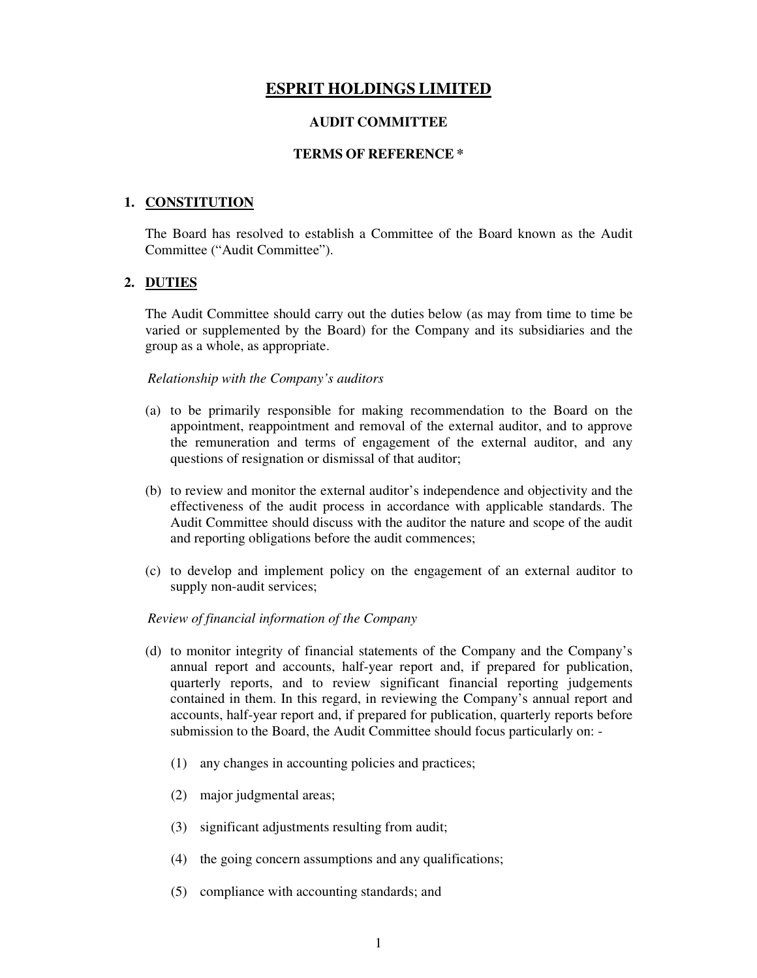# **ESPRIT HOLDINGS LIMITED**

### **AUDIT COMMITTEE**

#### **TERMS OF REFERENCE \***

### **1. CONSTITUTION**

The Board has resolved to establish a Committee of the Board known as the Audit Committee ("Audit Committee").

### **2. DUTIES**

The Audit Committee should carry out the duties below (as may from time to time be varied or supplemented by the Board) for the Company and its subsidiaries and the group as a whole, as appropriate.

#### *Relationship with the Company's auditors*

- (a) to be primarily responsible for making recommendation to the Board on the appointment, reappointment and removal of the external auditor, and to approve the remuneration and terms of engagement of the external auditor, and any questions of resignation or dismissal of that auditor;
- (b) to review and monitor the external auditor's independence and objectivity and the effectiveness of the audit process in accordance with applicable standards. The Audit Committee should discuss with the auditor the nature and scope of the audit and reporting obligations before the audit commences;
- (c) to develop and implement policy on the engagement of an external auditor to supply non-audit services;

### *Review of financial information of the Company*

- (d) to monitor integrity of financial statements of the Company and the Company's annual report and accounts, half-year report and, if prepared for publication, quarterly reports, and to review significant financial reporting judgements contained in them. In this regard, in reviewing the Company's annual report and accounts, half-year report and, if prepared for publication, quarterly reports before submission to the Board, the Audit Committee should focus particularly on: -
	- (1) any changes in accounting policies and practices;
	- (2) major judgmental areas;
	- (3) significant adjustments resulting from audit;
	- (4) the going concern assumptions and any qualifications;
	- (5) compliance with accounting standards; and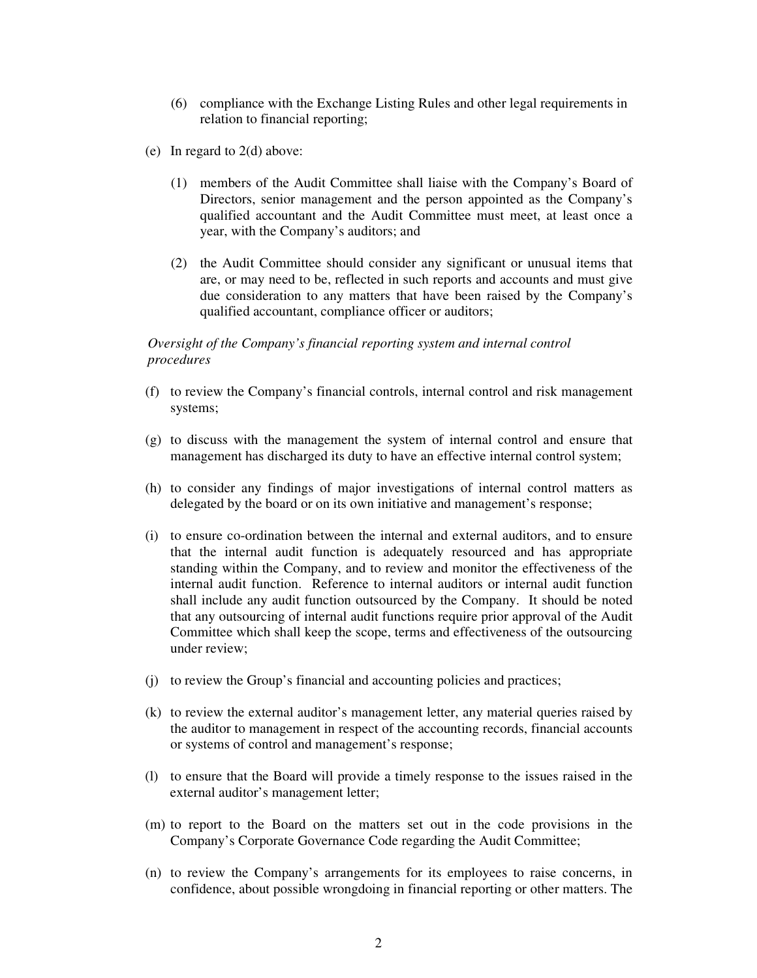- (6) compliance with the Exchange Listing Rules and other legal requirements in relation to financial reporting;
- (e) In regard to 2(d) above:
	- (1) members of the Audit Committee shall liaise with the Company's Board of Directors, senior management and the person appointed as the Company's qualified accountant and the Audit Committee must meet, at least once a year, with the Company's auditors; and
	- (2) the Audit Committee should consider any significant or unusual items that are, or may need to be, reflected in such reports and accounts and must give due consideration to any matters that have been raised by the Company's qualified accountant, compliance officer or auditors;

### *Oversight of the Company's financial reporting system and internal control procedures*

- (f) to review the Company's financial controls, internal control and risk management systems;
- (g) to discuss with the management the system of internal control and ensure that management has discharged its duty to have an effective internal control system;
- (h) to consider any findings of major investigations of internal control matters as delegated by the board or on its own initiative and management's response;
- (i) to ensure co-ordination between the internal and external auditors, and to ensure that the internal audit function is adequately resourced and has appropriate standing within the Company, and to review and monitor the effectiveness of the internal audit function. Reference to internal auditors or internal audit function shall include any audit function outsourced by the Company. It should be noted that any outsourcing of internal audit functions require prior approval of the Audit Committee which shall keep the scope, terms and effectiveness of the outsourcing under review;
- (j) to review the Group's financial and accounting policies and practices;
- (k) to review the external auditor's management letter, any material queries raised by the auditor to management in respect of the accounting records, financial accounts or systems of control and management's response;
- (l) to ensure that the Board will provide a timely response to the issues raised in the external auditor's management letter;
- (m) to report to the Board on the matters set out in the code provisions in the Company's Corporate Governance Code regarding the Audit Committee;
- (n) to review the Company's arrangements for its employees to raise concerns, in confidence, about possible wrongdoing in financial reporting or other matters. The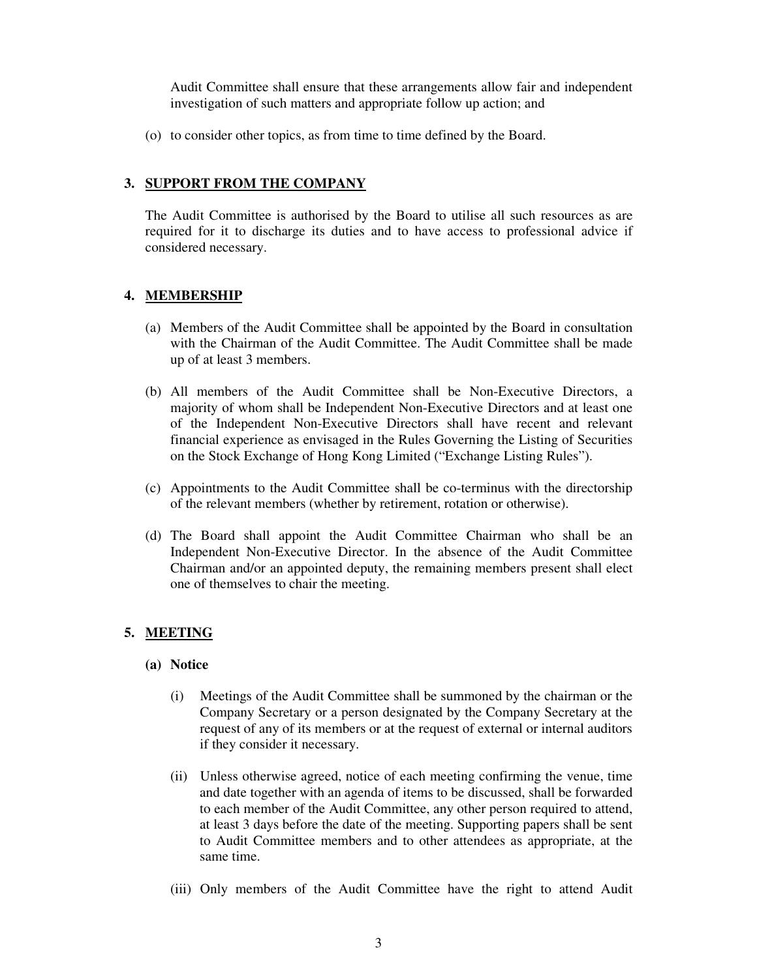Audit Committee shall ensure that these arrangements allow fair and independent investigation of such matters and appropriate follow up action; and

(o) to consider other topics, as from time to time defined by the Board.

### **3. SUPPORT FROM THE COMPANY**

The Audit Committee is authorised by the Board to utilise all such resources as are required for it to discharge its duties and to have access to professional advice if considered necessary.

# **4. MEMBERSHIP**

- (a) Members of the Audit Committee shall be appointed by the Board in consultation with the Chairman of the Audit Committee. The Audit Committee shall be made up of at least 3 members.
- (b) All members of the Audit Committee shall be Non-Executive Directors, a majority of whom shall be Independent Non-Executive Directors and at least one of the Independent Non-Executive Directors shall have recent and relevant financial experience as envisaged in the Rules Governing the Listing of Securities on the Stock Exchange of Hong Kong Limited ("Exchange Listing Rules").
- (c) Appointments to the Audit Committee shall be co-terminus with the directorship of the relevant members (whether by retirement, rotation or otherwise).
- (d) The Board shall appoint the Audit Committee Chairman who shall be an Independent Non-Executive Director. In the absence of the Audit Committee Chairman and/or an appointed deputy, the remaining members present shall elect one of themselves to chair the meeting.

### **5. MEETING**

#### **(a) Notice**

- (i) Meetings of the Audit Committee shall be summoned by the chairman or the Company Secretary or a person designated by the Company Secretary at the request of any of its members or at the request of external or internal auditors if they consider it necessary.
- (ii) Unless otherwise agreed, notice of each meeting confirming the venue, time and date together with an agenda of items to be discussed, shall be forwarded to each member of the Audit Committee, any other person required to attend, at least 3 days before the date of the meeting. Supporting papers shall be sent to Audit Committee members and to other attendees as appropriate, at the same time.
- (iii) Only members of the Audit Committee have the right to attend Audit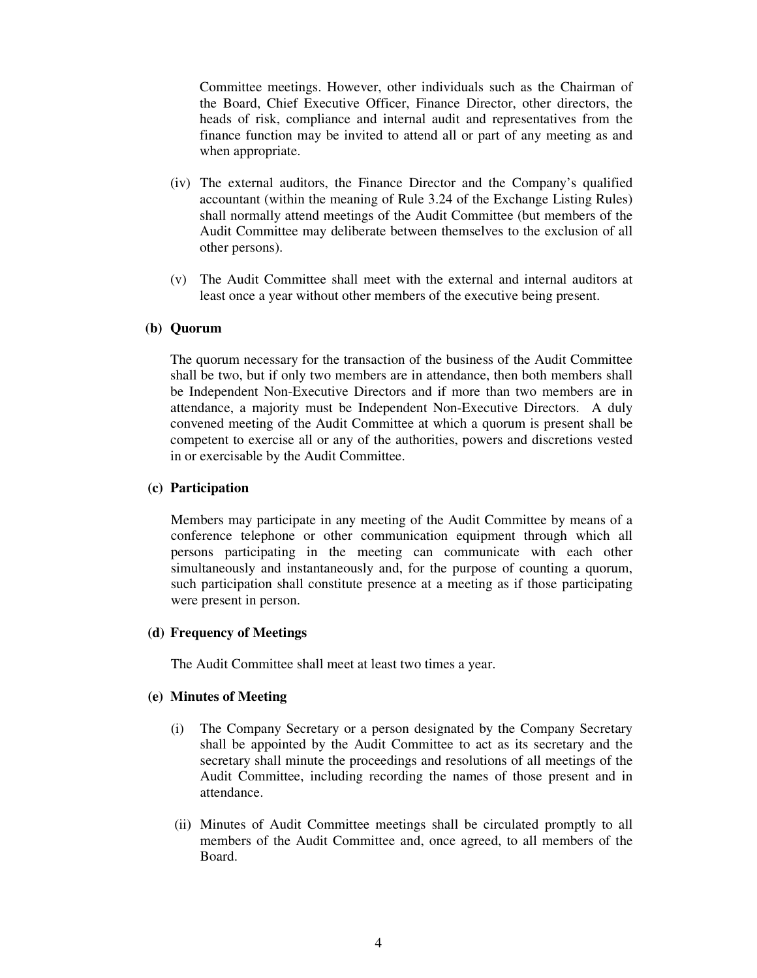Committee meetings. However, other individuals such as the Chairman of the Board, Chief Executive Officer, Finance Director, other directors, the heads of risk, compliance and internal audit and representatives from the finance function may be invited to attend all or part of any meeting as and when appropriate.

- (iv) The external auditors, the Finance Director and the Company's qualified accountant (within the meaning of Rule 3.24 of the Exchange Listing Rules) shall normally attend meetings of the Audit Committee (but members of the Audit Committee may deliberate between themselves to the exclusion of all other persons).
- (v) The Audit Committee shall meet with the external and internal auditors at least once a year without other members of the executive being present.

#### **(b) Quorum**

The quorum necessary for the transaction of the business of the Audit Committee shall be two, but if only two members are in attendance, then both members shall be Independent Non-Executive Directors and if more than two members are in attendance, a majority must be Independent Non-Executive Directors. A duly convened meeting of the Audit Committee at which a quorum is present shall be competent to exercise all or any of the authorities, powers and discretions vested in or exercisable by the Audit Committee.

### **(c) Participation**

Members may participate in any meeting of the Audit Committee by means of a conference telephone or other communication equipment through which all persons participating in the meeting can communicate with each other simultaneously and instantaneously and, for the purpose of counting a quorum, such participation shall constitute presence at a meeting as if those participating were present in person.

#### **(d) Frequency of Meetings**

The Audit Committee shall meet at least two times a year.

#### **(e) Minutes of Meeting**

- (i) The Company Secretary or a person designated by the Company Secretary shall be appointed by the Audit Committee to act as its secretary and the secretary shall minute the proceedings and resolutions of all meetings of the Audit Committee, including recording the names of those present and in attendance.
- (ii) Minutes of Audit Committee meetings shall be circulated promptly to all members of the Audit Committee and, once agreed, to all members of the Board.